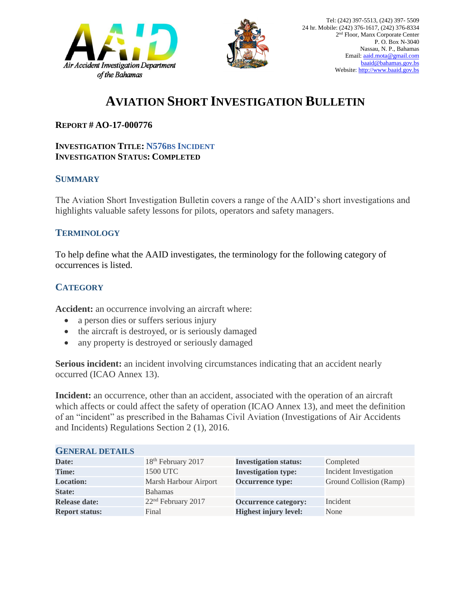



# **AVIATION SHORT INVESTIGATION BULLETIN**

### **REPORT # AO-17-000776**

#### **INVESTIGATION TITLE: N576BS INCIDENT INVESTIGATION STATUS: COMPLETED**

#### **SUMMARY**

The Aviation Short Investigation Bulletin covers a range of the AAID's short investigations and highlights valuable safety lessons for pilots, operators and safety managers.

### **TERMINOLOGY**

To help define what the AAID investigates, the terminology for the following category of occurrences is listed.

## **CATEGORY**

**Accident:** an occurrence involving an aircraft where:

- a person dies or suffers serious injury
- the aircraft is destroyed, or is seriously damaged
- any property is destroyed or seriously damaged

**Serious incident:** an incident involving circumstances indicating that an accident nearly occurred (ICAO Annex 13).

**Incident:** an occurrence, other than an accident, associated with the operation of an aircraft which affects or could affect the safety of operation (ICAO Annex 13), and meet the definition of an "incident" as prescribed in the Bahamas Civil Aviation (Investigations of Air Accidents and Incidents) Regulations Section 2 (1), 2016.

| <b>GENERAL DETAILS</b> |                                |                              |                         |
|------------------------|--------------------------------|------------------------------|-------------------------|
| Date:                  | 18 <sup>th</sup> February 2017 | <b>Investigation status:</b> | Completed               |
| <b>Time:</b>           | 1500 UTC                       | <b>Investigation type:</b>   | Incident Investigation  |
| <b>Location:</b>       | Marsh Harbour Airport          | Occurrence type:             | Ground Collision (Ramp) |
| <b>State:</b>          | Bahamas                        |                              |                         |
| <b>Release date:</b>   | 22 <sup>nd</sup> February 2017 | <b>Occurrence category:</b>  | Incident                |
| <b>Report status:</b>  | Final                          | <b>Highest injury level:</b> | None                    |